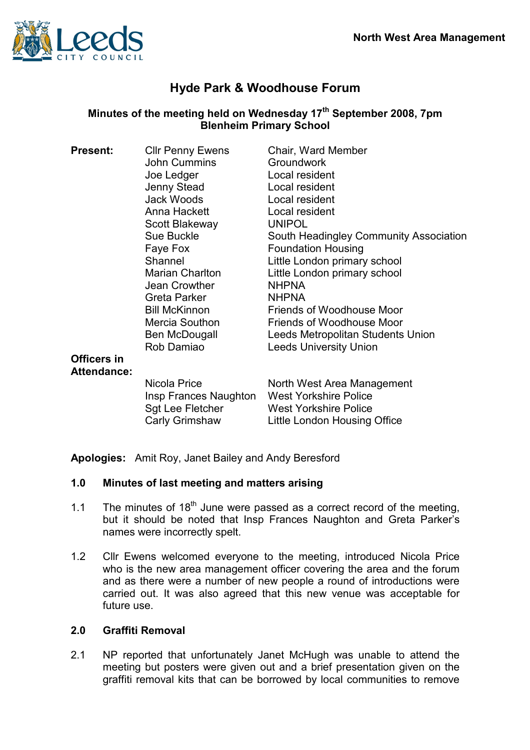

# Hyde Park & Woodhouse Forum

# Minutes of the meeting held on Wednesday  $17<sup>th</sup>$  September 2008, 7pm Blenheim Primary School

| <b>Present:</b>                          | <b>Cllr Penny Ewens</b>                                                     | Chair, Ward Member                                                                                                         |
|------------------------------------------|-----------------------------------------------------------------------------|----------------------------------------------------------------------------------------------------------------------------|
|                                          | <b>John Cummins</b>                                                         | Groundwork                                                                                                                 |
|                                          | Joe Ledger                                                                  | Local resident                                                                                                             |
|                                          | Jenny Stead                                                                 | Local resident                                                                                                             |
|                                          | Jack Woods                                                                  | Local resident                                                                                                             |
|                                          | Anna Hackett                                                                | Local resident                                                                                                             |
|                                          | Scott Blakeway                                                              | <b>UNIPOL</b>                                                                                                              |
|                                          | Sue Buckle                                                                  | South Headingley Community Association                                                                                     |
|                                          | Faye Fox                                                                    | <b>Foundation Housing</b>                                                                                                  |
|                                          | Shannel                                                                     | Little London primary school                                                                                               |
|                                          | Marian Charlton                                                             | Little London primary school                                                                                               |
|                                          | Jean Crowther                                                               | <b>NHPNA</b>                                                                                                               |
|                                          | Greta Parker                                                                | <b>NHPNA</b>                                                                                                               |
|                                          | <b>Bill McKinnon</b>                                                        | Friends of Woodhouse Moor                                                                                                  |
|                                          | Mercia Southon                                                              | Friends of Woodhouse Moor                                                                                                  |
|                                          | Ben McDougall                                                               | Leeds Metropolitan Students Union                                                                                          |
|                                          | Rob Damiao                                                                  | <b>Leeds University Union</b>                                                                                              |
| <b>Officers in</b><br><b>Attendance:</b> |                                                                             |                                                                                                                            |
|                                          | Nicola Price<br>Insp Frances Naughton<br>Sgt Lee Fletcher<br>Carly Grimshaw | North West Area Management<br><b>West Yorkshire Police</b><br><b>West Yorkshire Police</b><br>Little London Housing Office |
|                                          |                                                                             |                                                                                                                            |

Apologies: Amit Roy, Janet Bailey and Andy Beresford

## 1.0 Minutes of last meeting and matters arising

- 1.1 The minutes of  $18<sup>th</sup>$  June were passed as a correct record of the meeting. but it should be noted that Insp Frances Naughton and Greta Parker's names were incorrectly spelt.
- 1.2 Cllr Ewens welcomed everyone to the meeting, introduced Nicola Price who is the new area management officer covering the area and the forum and as there were a number of new people a round of introductions were carried out. It was also agreed that this new venue was acceptable for future use.

## 2.0 Graffiti Removal

2.1 NP reported that unfortunately Janet McHugh was unable to attend the meeting but posters were given out and a brief presentation given on the graffiti removal kits that can be borrowed by local communities to remove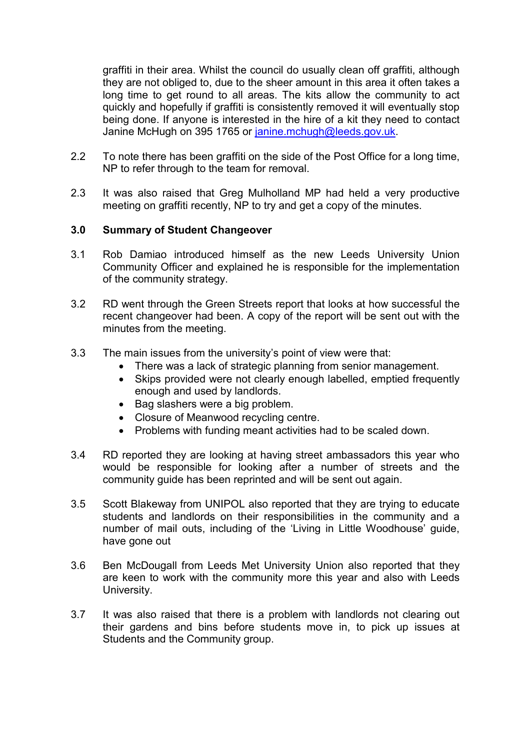graffiti in their area. Whilst the council do usually clean off graffiti, although they are not obliged to, due to the sheer amount in this area it often takes a long time to get round to all areas. The kits allow the community to act quickly and hopefully if graffiti is consistently removed it will eventually stop being done. If anyone is interested in the hire of a kit they need to contact Janine McHugh on 395 1765 or janine.mchugh@leeds.gov.uk.

- 2.2 To note there has been graffiti on the side of the Post Office for a long time, NP to refer through to the team for removal.
- 2.3 It was also raised that Greg Mulholland MP had held a very productive meeting on graffiti recently, NP to try and get a copy of the minutes.

#### 3.0 Summary of Student Changeover

- 3.1 Rob Damiao introduced himself as the new Leeds University Union Community Officer and explained he is responsible for the implementation of the community strategy.
- 3.2 RD went through the Green Streets report that looks at how successful the recent changeover had been. A copy of the report will be sent out with the minutes from the meeting.
- 3.3 The main issues from the university's point of view were that:
	- There was a lack of strategic planning from senior management.
	- Skips provided were not clearly enough labelled, emptied frequently enough and used by landlords.
	- Bag slashers were a big problem.
	- Closure of Meanwood recycling centre.
	- Problems with funding meant activities had to be scaled down.
- 3.4 RD reported they are looking at having street ambassadors this year who would be responsible for looking after a number of streets and the community guide has been reprinted and will be sent out again.
- 3.5 Scott Blakeway from UNIPOL also reported that they are trying to educate students and landlords on their responsibilities in the community and a number of mail outs, including of the 'Living in Little Woodhouse' guide, have gone out
- 3.6 Ben McDougall from Leeds Met University Union also reported that they are keen to work with the community more this year and also with Leeds University.
- 3.7 It was also raised that there is a problem with landlords not clearing out their gardens and bins before students move in, to pick up issues at Students and the Community group.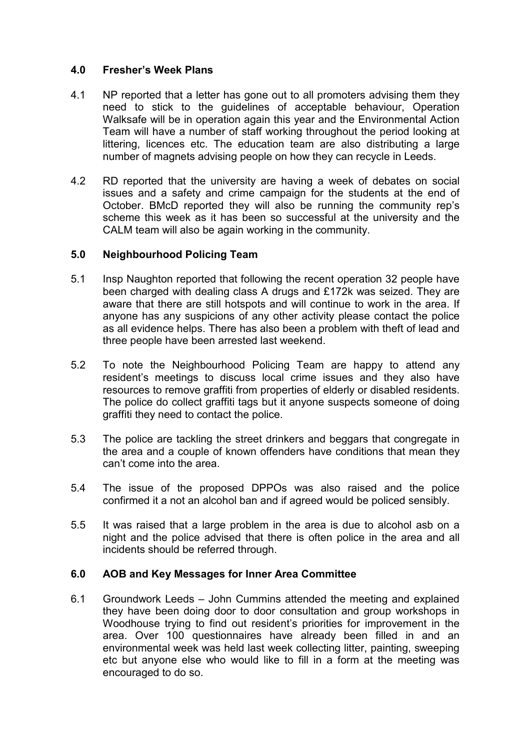#### 4.0 Fresher's Week Plans

- 4.1 NP reported that a letter has gone out to all promoters advising them they need to stick to the guidelines of acceptable behaviour, Operation Walksafe will be in operation again this year and the Environmental Action Team will have a number of staff working throughout the period looking at littering, licences etc. The education team are also distributing a large number of magnets advising people on how they can recycle in Leeds.
- 4.2 RD reported that the university are having a week of debates on social issues and a safety and crime campaign for the students at the end of October. BMcD reported they will also be running the community rep's scheme this week as it has been so successful at the university and the CALM team will also be again working in the community.

## 5.0 Neighbourhood Policing Team

- 5.1 Insp Naughton reported that following the recent operation 32 people have been charged with dealing class A drugs and £172k was seized. They are aware that there are still hotspots and will continue to work in the area. If anyone has any suspicions of any other activity please contact the police as all evidence helps. There has also been a problem with theft of lead and three people have been arrested last weekend.
- 5.2 To note the Neighbourhood Policing Team are happy to attend any resident's meetings to discuss local crime issues and they also have resources to remove graffiti from properties of elderly or disabled residents. The police do collect graffiti tags but it anyone suspects someone of doing graffiti they need to contact the police.
- 5.3 The police are tackling the street drinkers and beggars that congregate in the area and a couple of known offenders have conditions that mean they can't come into the area.
- 5.4 The issue of the proposed DPPOs was also raised and the police confirmed it a not an alcohol ban and if agreed would be policed sensibly.
- 5.5 It was raised that a large problem in the area is due to alcohol asb on a night and the police advised that there is often police in the area and all incidents should be referred through.

# 6.0 AOB and Key Messages for Inner Area Committee

6.1 Groundwork Leeds – John Cummins attended the meeting and explained they have been doing door to door consultation and group workshops in Woodhouse trying to find out resident's priorities for improvement in the area. Over 100 questionnaires have already been filled in and an environmental week was held last week collecting litter, painting, sweeping etc but anyone else who would like to fill in a form at the meeting was encouraged to do so.